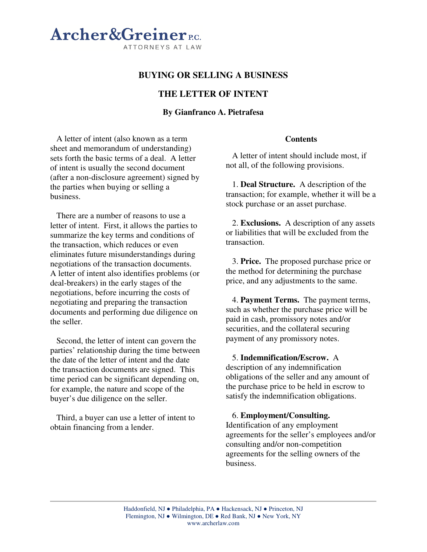# Archer&Greiner<sub>ec</sub> ATTORNEYS AT LAW

# **BUYING OR SELLING A BUSINESS**

# **THE LETTER OF INTENT**

## **By Gianfranco A. Pietrafesa**

A letter of intent (also known as a term sheet and memorandum of understanding) sets forth the basic terms of a deal. A letter of intent is usually the second document (after a non-disclosure agreement) signed by the parties when buying or selling a business.

There are a number of reasons to use a letter of intent. First, it allows the parties to summarize the key terms and conditions of the transaction, which reduces or even eliminates future misunderstandings during negotiations of the transaction documents. A letter of intent also identifies problems (or deal-breakers) in the early stages of the negotiations, before incurring the costs of negotiating and preparing the transaction documents and performing due diligence on the seller.

Second, the letter of intent can govern the parties' relationship during the time between the date of the letter of intent and the date the transaction documents are signed. This time period can be significant depending on, for example, the nature and scope of the buyer's due diligence on the seller.

Third, a buyer can use a letter of intent to obtain financing from a lender.

#### **Contents**

A letter of intent should include most, if not all, of the following provisions.

1. **Deal Structure.** A description of the transaction; for example, whether it will be a stock purchase or an asset purchase.

2. **Exclusions.** A description of any assets or liabilities that will be excluded from the transaction.

3. **Price.** The proposed purchase price or the method for determining the purchase price, and any adjustments to the same.

4. **Payment Terms.** The payment terms, such as whether the purchase price will be paid in cash, promissory notes and/or securities, and the collateral securing payment of any promissory notes.

5. **Indemnification/Escrow.** A description of any indemnification obligations of the seller and any amount of the purchase price to be held in escrow to satisfy the indemnification obligations.

6. **Employment/Consulting.** Identification of any employment agreements for the seller's employees and/or consulting and/or non-competition agreements for the selling owners of the business.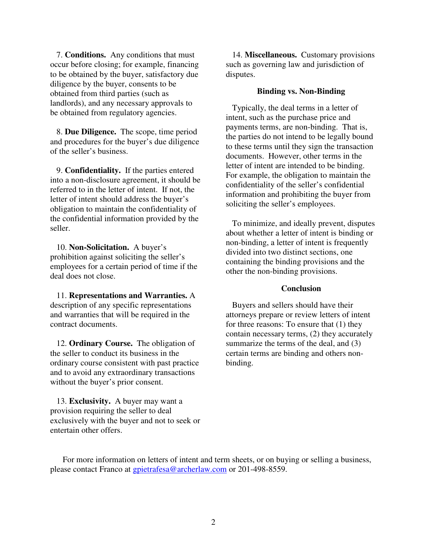7. **Conditions.** Any conditions that must occur before closing; for example, financing to be obtained by the buyer, satisfactory due diligence by the buyer, consents to be obtained from third parties (such as landlords), and any necessary approvals to be obtained from regulatory agencies.

8. **Due Diligence.** The scope, time period and procedures for the buyer's due diligence of the seller's business.

9. **Confidentiality.** If the parties entered into a non-disclosure agreement, it should be referred to in the letter of intent. If not, the letter of intent should address the buyer's obligation to maintain the confidentiality of the confidential information provided by the seller.

10. **Non-Solicitation.** A buyer's prohibition against soliciting the seller's employees for a certain period of time if the deal does not close.

11. **Representations and Warranties.** A description of any specific representations and warranties that will be required in the contract documents.

12. **Ordinary Course.** The obligation of the seller to conduct its business in the ordinary course consistent with past practice and to avoid any extraordinary transactions without the buyer's prior consent.

13. **Exclusivity.** A buyer may want a provision requiring the seller to deal exclusively with the buyer and not to seek or entertain other offers.

14. **Miscellaneous.** Customary provisions such as governing law and jurisdiction of disputes.

### **Binding vs. Non-Binding**

Typically, the deal terms in a letter of intent, such as the purchase price and payments terms, are non-binding. That is, the parties do not intend to be legally bound to these terms until they sign the transaction documents. However, other terms in the letter of intent are intended to be binding. For example, the obligation to maintain the confidentiality of the seller's confidential information and prohibiting the buyer from soliciting the seller's employees.

To minimize, and ideally prevent, disputes about whether a letter of intent is binding or non-binding, a letter of intent is frequently divided into two distinct sections, one containing the binding provisions and the other the non-binding provisions.

## **Conclusion**

Buyers and sellers should have their attorneys prepare or review letters of intent for three reasons: To ensure that (1) they contain necessary terms, (2) they accurately summarize the terms of the deal, and  $(3)$ certain terms are binding and others nonbinding.

For more information on letters of intent and term sheets, or on buying or selling a business, please contact Franco at gpietrafesa@archerlaw.com or 201-498-8559.